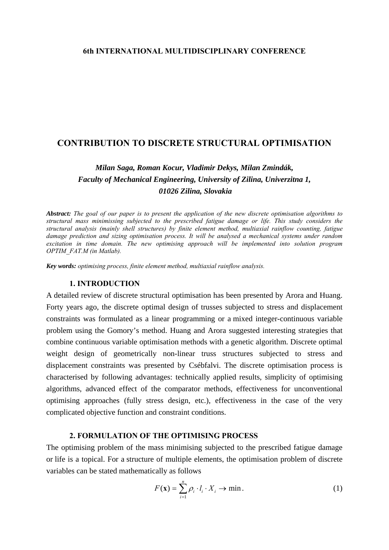## **6th INTERNATIONAL MULTIDISCIPLINARY CONFERENCE**

# **CONTRIBUTION TO DISCRETE STRUCTURAL OPTIMISATION**

# *Milan Saga, Roman Kocur, Vladimir Dekys, Milan Zmindák, Faculty of Mechanical Engineering, University of Zilina, Univerzitna 1, 01026 Zilina, Slovakia*

*Abstract: The goal of our paper is to present the application of the new discrete optimisation algorithms to structural mass minimissing subjected to the prescribed fatigue damage or life. This study considers the structural analysis (mainly shell structures) by finite element method, multiaxial rainflow counting, fatigue damage prediction and sizing optimisation process. It will be analysed a mechanical systems under random excitation in time domain. The new optimising approach will be implemented into solution program OPTIM\_FAT.M (in Matlab).* 

*Key words: optimising process, finite element method, multiaxial rainflow analysis.*

# **1. INTRODUCTION**

A detailed review of discrete structural optimisation has been presented by Arora and Huang. Forty years ago, the discrete optimal design of trusses subjected to stress and displacement constraints was formulated as a linear programming or a mixed integer-continuous variable problem using the Gomory's method. Huang and Arora suggested interesting strategies that combine continuous variable optimisation methods with a genetic algorithm. Discrete optimal weight design of geometrically non-linear truss structures subjected to stress and displacement constraints was presented by Csébfalvi. The discrete optimisation process is characterised by following advantages: technically applied results, simplicity of optimising algorithms, advanced effect of the comparator methods, effectiveness for unconventional optimising approaches (fully stress design, etc.), effectiveness in the case of the very complicated objective function and constraint conditions.

#### **2. FORMULATION OF THE OPTIMISING PROCESS**

The optimising problem of the mass minimising subjected to the prescribed fatigue damage or life is a topical. For a structure of multiple elements, the optimisation problem of discrete variables can be stated mathematically as follows

$$
F(\mathbf{x}) = \sum_{i=1}^{n} \rho_i \cdot l_i \cdot X_i \to \min.
$$
 (1)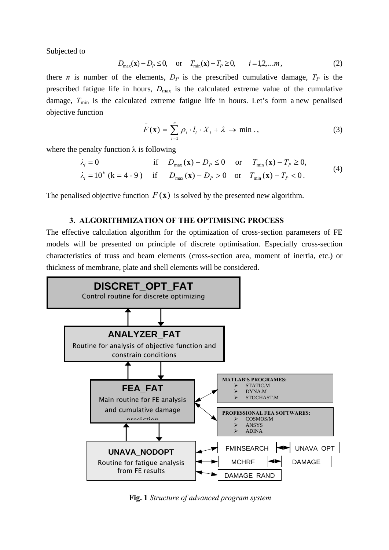Subjected to

$$
D_{\max}(\mathbf{x}) - D_p \le 0, \quad \text{or} \quad T_{\min}(\mathbf{x}) - T_p \ge 0, \qquad i = 1, 2, \dots m,
$$
 (2)

there *n* is number of the elements,  $D_p$  is the prescribed cumulative damage,  $T_p$  is the prescribed fatigue life in hours,  $D_{\text{max}}$  is the calculated extreme value of the cumulative damage,  $T_{\text{min}}$  is the calculated extreme fatigue life in hours. Let's form a new penalised objective function

$$
\bar{F}(\mathbf{x}) = \sum_{i=1}^{n} \rho_i \cdot l_i \cdot X_i + \lambda \to \min . , \qquad (3)
$$

where the penalty function  $\lambda$  is following

$$
\lambda_i = 0 \quad \text{if} \quad D_{\text{max}}(\mathbf{x}) - D_P \le 0 \quad \text{or} \quad T_{\text{min}}(\mathbf{x}) - T_P \ge 0, \n\lambda_i = 10^k \text{ (k = 4 - 9)} \quad \text{if} \quad D_{\text{max}}(\mathbf{x}) - D_P > 0 \quad \text{or} \quad T_{\text{min}}(\mathbf{x}) - T_P < 0.
$$
\n(4)

The penalised objective function  $\bar{F}(\mathbf{x})$  is solved by the presented new algorithm.

# **3. ALGORITHMIZATION OF THE OPTIMISING PROCESS**

The effective calculation algorithm for the optimization of cross-section parameters of FE models will be presented on principle of discrete optimisation. Especially cross-section characteristics of truss and beam elements (cross-section area, moment of inertia, etc.) or thickness of membrane, plate and shell elements will be considered.



**Fig. 1** *Structure of advanced program system*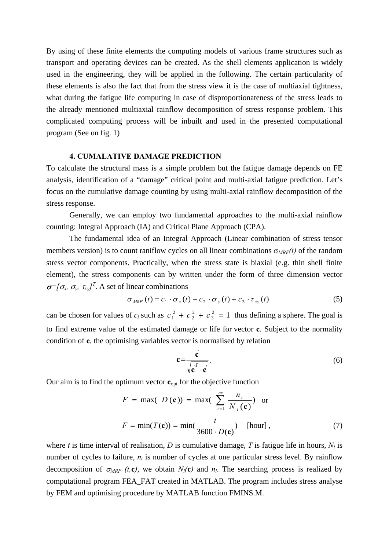By using of these finite elements the computing models of various frame structures such as transport and operating devices can be created. As the shell elements application is widely used in the engineering, they will be applied in the following. The certain particularity of these elements is also the fact that from the stress view it is the case of multiaxial tightness, what during the fatigue life computing in case of disproportionateness of the stress leads to the already mentioned multiaxial rainflow decomposition of stress response problem. This complicated computing process will be inbuilt and used in the presented computational program (See on fig. 1)

# **4. CUMALATIVE DAMAGE PREDICTION**

To calculate the structural mass is a simple problem but the fatigue damage depends on FE analysis, identification of a "damage" critical point and multi-axial fatigue prediction. Let's focus on the cumulative damage counting by using multi-axial rainflow decomposition of the stress response.

Generally, we can employ two fundamental approaches to the multi-axial rainflow counting: Integral Approach (IA) and Critical Plane Approach (CPA).

 The fundamental idea of an Integral Approach (Linear combination of stress tensor members version) is to count raniflow cycles on all linear combinations  $\sigma_{MRF}(t)$  of the random stress vector components. Practically, when the stress state is biaxial (e.g. thin shell finite element), the stress components can by written under the form of three dimension vector  $\sigma$ <sup>=</sup>[ $\sigma_x$ ,  $\sigma_y$ ,  $\tau_{xy}$ ]<sup>T</sup>. A set of linear combinations

$$
\sigma_{MRF}(t) = c_1 \cdot \sigma_x(t) + c_2 \cdot \sigma_y(t) + c_3 \cdot \tau_{xy}(t)
$$
\n<sup>(5)</sup>

can be chosen for values of  $c_i$  such as  $c_1^2 + c_2^2 + c_3^2 = 1$  thus defining a sphere. The goal is to find extreme value of the estimated damage or life for vector **c**. Subject to the normality condition of **c**, the optimising variables vector is normalised by relation 2 2  $c_1^2 + c_2^2 + c_3^2 =$ 

$$
\mathbf{c} = \frac{\mathbf{c}}{\sqrt{\mathbf{c}^T \cdot \mathbf{c}}}.
$$
 (6)

Our aim is to find the optimum vector  $\mathbf{c}_{\text{opt}}$  for the objective function

$$
F = \max( D(\mathbf{c})) = \max(\sum_{i=1}^{nc} \frac{n_i}{N_i(\mathbf{c})}) \text{ or}
$$

$$
F = \min(T(\mathbf{c})) = \min(\frac{t}{3600 \cdot D(\mathbf{c})}) \quad [\text{hour}], \qquad (7)
$$

where *t* is time interval of realisation, *D* is cumulative damage, *T* is fatigue life in hours,  $N_i$  is number of cycles to failure,  $n_i$  is number of cycles at one particular stress level. By rainflow decomposition of  $\sigma_{MRF}$  (t,**c**), we obtain  $N_i(\mathbf{c})$  and  $n_i$ . The searching process is realized by computational program FEA\_FAT created in MATLAB. The program includes stress analyse by FEM and optimising procedure by MATLAB function FMINS.M.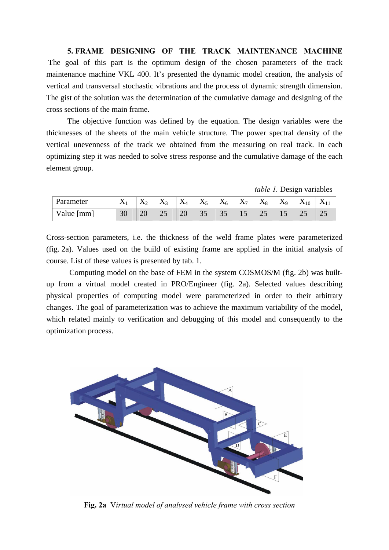**5. FRAME DESIGNING OF THE TRACK MAINTENANCE MACHINE**  The goal of this part is the optimum design of the chosen parameters of the track maintenance machine VKL 400. It's presented the dynamic model creation, the analysis of vertical and transversal stochastic vibrations and the process of dynamic strength dimension. The gist of the solution was the determination of the cumulative damage and designing of the cross sections of the main frame.

The objective function was defined by the equation. The design variables were the thicknesses of the sheets of the main vehicle structure. The power spectral density of the vertical unevenness of the track we obtained from the measuring on real track. In each optimizing step it was needed to solve stress response and the cumulative damage of the each element group.

*table 1.* Design variables

| Parameter    | $\Lambda$ | $\mathbf{x}$<br>$\Lambda$ | $\mathbf{v}$<br>$\mathbf{\Lambda}^2$ | $\mathbf{v}$<br>$\Lambda$ | $\mathbf{v}$<br>$\Delta$ 5 | $\mathbf{v}$<br>Λ6 | $\mathbf{v}$<br>$\Lambda$ 7 | $\mathbf{x}$<br>$\mathbf{\Lambda}8$ | $\mathbf{v}$<br>$\Delta$ 9 | $\mathbf{x}$<br>$\mathbf{\Lambda}_{10}$ |    |
|--------------|-----------|---------------------------|--------------------------------------|---------------------------|----------------------------|--------------------|-----------------------------|-------------------------------------|----------------------------|-----------------------------------------|----|
| Value $[mm]$ | 30        | റ∩<br>∠∪                  | رے                                   | 20                        | 35                         | ◡                  | ΠJ                          | رے                                  | --                         | ر∠                                      | رے |

Cross-section parameters, i.e. the thickness of the weld frame plates were parameterized (fig. 2a). Values used on the build of existing frame are applied in the initial analysis of course. List of these values is presented by tab. 1.

Computing model on the base of FEM in the system COSMOS/M (fig. 2b) was builtup from a virtual model created in PRO/Engineer (fig. 2a). Selected values describing physical properties of computing model were parameterized in order to their arbitrary changes. The goal of parameterization was to achieve the maximum variability of the model, which related mainly to verification and debugging of this model and consequently to the optimization process.



**Fig. 2a** V*irtual model of analysed vehicle frame with cross section*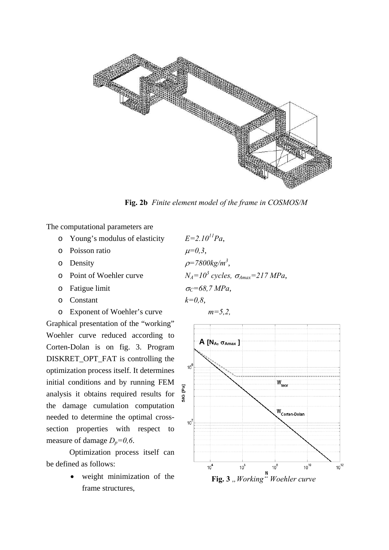

**Fig. 2b** *Finite element model of the frame in COSMOS/M*

The computational parameters are

- $\circ$  Young's modulus of elasticity  $E=2.10^{11}Pa$ ,
- o Poisson ratio  $\mu=0,3$ ,
- 
- o Point of Woehler curve
- o Fatigue limit  $\sigma_C = 68.7 \text{ MPa}$ ,
- $\circ$  Constant  $k=0.8$ ,
- o Exponent of Woehler's curve *m=5,2,*

Graphical presentation of the "working" Woehler curve reduced according to Corten-Dolan is on fig. 3. Program DISKRET\_OPT\_FAT is controlling the optimization process itself. It determines initial conditions and by running FEM analysis it obtains required results for the damage cumulation computation needed to determine the optimal crosssection properties with respect to measure of damage  $D_p=0,6$ .

Optimizatio n process itself can be defi ned as follows:

> • weight minimization of the frame structures,

o Density  $\rho = 7800 \text{kg/m}^3$ ,  $N_A = 10^3$  cycles,  $\sigma_{A max} = 217$  *MPa*,

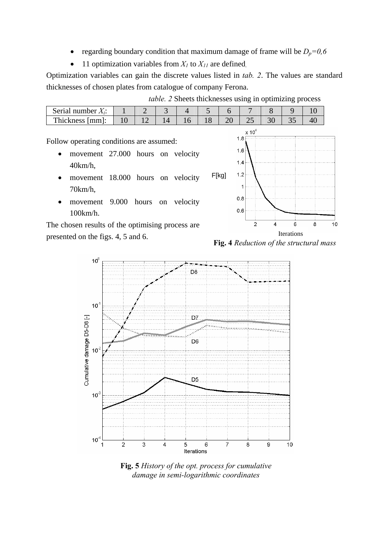- regarding boundary condition that maximum damage of frame will be  $D_p=0.6$
- 11 optimization variables from  $X_I$  to  $X_{II}$  are defined.

Optimization variables can gain the discrete values listed in *tab*. 2. The values are standard thicknesses of chosen plates from catalogue of company Ferona.

| <i>table.</i> 2 Sheets thicknesses using in optimizing process |  |  |
|----------------------------------------------------------------|--|--|
|                                                                |  |  |

F[kg]

| Serial number.               |         |  |        |     |   |  |
|------------------------------|---------|--|--------|-----|---|--|
| m<br>Thickness<br>mm<br>ишп. | $\cdot$ |  | $\sim$ | لدك | ັ |  |

Follow operating conditions are assumed:

- movement 27.000 hours on velocity 40km/h,
- movement 18.000 hours on velocity 70km/h,
- movement 9.000 hours on velocity 100km/h.

The chosen results of the optimising process are presented on the figs. 4, 5 and 6. **Fig. 4** *Reduction of the structural mass* 





**Fig. 5** *History of the opt. process for cumulative damage in semi-logarithmic coordinates*